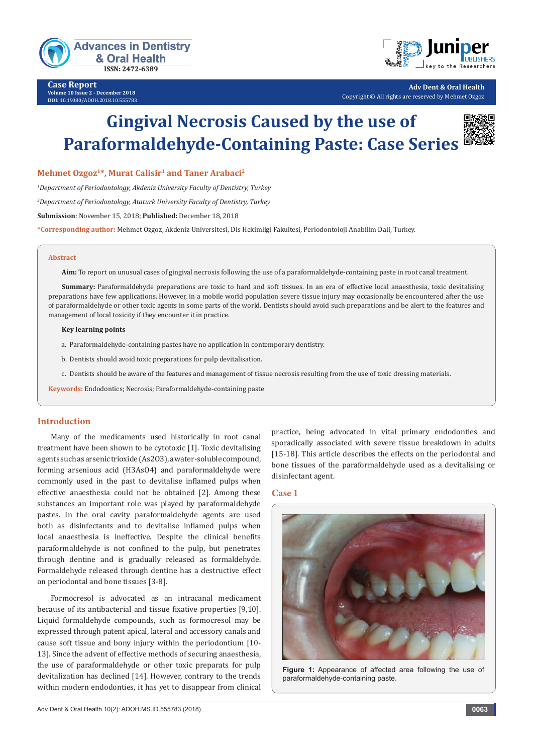



**Adv Dent & Oral Health** Copyright © All rights are reserved by Mehmet Ozgoz

# **Gingival Necrosis Caused by the use of Paraformaldehyde-Containing Paste: Case Series**

**Mehmet Ozgoz1\*, Murat Calisir1 and Taner Arabaci2**

*1 Department of Periodontology, Akdeniz University Faculty of Dentistry, Turkey*

*2 Department of Periodontology, Ataturk University Faculty of Dentistry, Turkey*

**Submission**: November 15, 2018; **Published:** December 18, 2018

**\*Corresponding author:** Mehmet Ozgoz, Akdeniz Universitesi, Dis Hekimligi Fakultesi, Periodontoloji Anabilim Dali, Turkey.

#### **Abstract**

**Aim:** To report on unusual cases of gingival necrosis following the use of a paraformaldehyde-containing paste in root canal treatment.

**Summary:** Paraformaldehyde preparations are toxic to hard and soft tissues. In an era of effective local anaesthesia, toxic devitalising preparations have few applications. However, in a mobile world population severe tissue injury may occasionally be encountered after the use of paraformaldehyde or other toxic agents in some parts of the world. Dentists should avoid such preparations and be alert to the features and management of local toxicity if they encounter it in practice.

#### **Key learning points**

- a. Paraformaldehyde-containing pastes have no application in contemporary dentistry.
- b. Dentists should avoid toxic preparations for pulp devitalisation.
- c. Dentists should be aware of the features and management of tissue necrosis resulting from the use of toxic dressing materials.

**Keywords:** Endodontics; Necrosis; Paraformaldehyde-containing paste

## **Introduction**

Many of the medicaments used historically in root canal treatment have been shown to be cytotoxic [1]. Toxic devitalising agents such as arsenic trioxide (As2O3), a water-soluble compound, forming arsenious acid (H3AsO4) and paraformaldehyde were commonly used in the past to devitalise inflamed pulps when effective anaesthesia could not be obtained [2]. Among these substances an important role was played by paraformaldehyde pastes. In the oral cavity paraformaldehyde agents are used both as disinfectants and to devitalise inflamed pulps when local anaesthesia is ineffective. Despite the clinical benefits paraformaldehyde is not confined to the pulp, but penetrates through dentine and is gradually released as formaldehyde. Formaldehyde released through dentine has a destructive effect on periodontal and bone tissues [3-8].

Formocresol is advocated as an intracanal medicament because of its antibacterial and tissue fixative properties [9,10]. Liquid formaldehyde compounds, such as formocresol may be expressed through patent apical, lateral and accessory canals and cause soft tissue and bony injury within the periodontium [10- 13]. Since the advent of effective methods of securing anaesthesia, the use of paraformaldehyde or other toxic preparats for pulp devitalization has declined [14]. However, contrary to the trends within modern endodonties, it has yet to disappear from clinical practice, being advocated in vital primary endodonties and sporadically associated with severe tissue breakdown in adults [15-18]. This article describes the effects on the periodontal and bone tissues of the paraformaldehyde used as a devitalising or disinfectant agent.

## **Case 1**



**Figure 1:** Appearance of affected area following the use of paraformaldehyde-containing paste.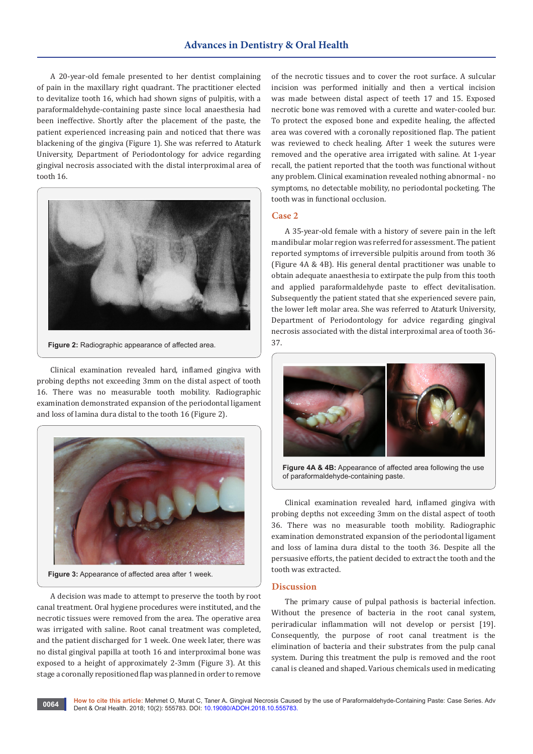# **Advances in Dentistry & Oral Health**

A 20-year-old female presented to her dentist complaining of pain in the maxillary right quadrant. The practitioner elected to devitalize tooth 16, which had shown signs of pulpitis, with a paraformaldehyde-containing paste since local anaesthesia had been ineffective. Shortly after the placement of the paste, the patient experienced increasing pain and noticed that there was blackening of the gingiva (Figure 1). She was referred to Ataturk University, Department of Periodontology for advice regarding gingival necrosis associated with the distal interproximal area of tooth 16.



**Figure 2:** Radiographic appearance of affected area.

Clinical examination revealed hard, inflamed gingiva with probing depths not exceeding 3mm on the distal aspect of tooth 16. There was no measurable tooth mobility. Radiographic examination demonstrated expansion of the periodontal ligament and loss of lamina dura distal to the tooth 16 (Figure 2).



**Figure 3:** Appearance of affected area after 1 week.

A decision was made to attempt to preserve the tooth by root canal treatment. Oral hygiene procedures were instituted, and the necrotic tissues were removed from the area. The operative area was irrigated with saline. Root canal treatment was completed, and the patient discharged for 1 week. One week later, there was no distal gingival papilla at tooth 16 and interproximal bone was exposed to a height of approximately 2-3mm (Figure 3). At this stage a coronally repositioned flap was planned in order to remove

of the necrotic tissues and to cover the root surface. A sulcular incision was performed initially and then a vertical incision was made between distal aspect of teeth 17 and 15. Exposed necrotic bone was removed with a curette and water-cooled bur. To protect the exposed bone and expedite healing, the affected area was covered with a coronally repositioned flap. The patient was reviewed to check healing. After 1 week the sutures were removed and the operative area irrigated with saline. At 1-year recall, the patient reported that the tooth was functional without any problem. Clinical examination revealed nothing abnormal - no symptoms, no detectable mobility, no periodontal pocketing. The tooth was in functional occlusion.

#### **Case 2**

A 35-year-old female with a history of severe pain in the left mandibular molar region was referred for assessment. The patient reported symptoms of irreversible pulpitis around from tooth 36 (Figure 4A & 4B). His general dental practitioner was unable to obtain adequate anaesthesia to extirpate the pulp from this tooth and applied paraformaldehyde paste to effect devitalisation. Subsequently the patient stated that she experienced severe pain, the lower left molar area. She was referred to Ataturk University, Department of Periodontology for advice regarding gingival necrosis associated with the distal interproximal area of tooth 36- 37.



**Figure 4A & 4B:** Appearance of affected area following the use of paraformaldehyde-containing paste.

Clinical examination revealed hard, inflamed gingiva with probing depths not exceeding 3mm on the distal aspect of tooth 36. There was no measurable tooth mobility. Radiographic examination demonstrated expansion of the periodontal ligament and loss of lamina dura distal to the tooth 36. Despite all the persuasive efforts, the patient decided to extract the tooth and the tooth was extracted.

#### **Discussion**

The primary cause of pulpal pathosis is bacterial infection. Without the presence of bacteria in the root canal system, periradicular inflammation will not develop or persist [19]. Consequently, the purpose of root canal treatment is the elimination of bacteria and their substrates from the pulp canal system. During this treatment the pulp is removed and the root canal is cleaned and shaped. Various chemicals used in medicating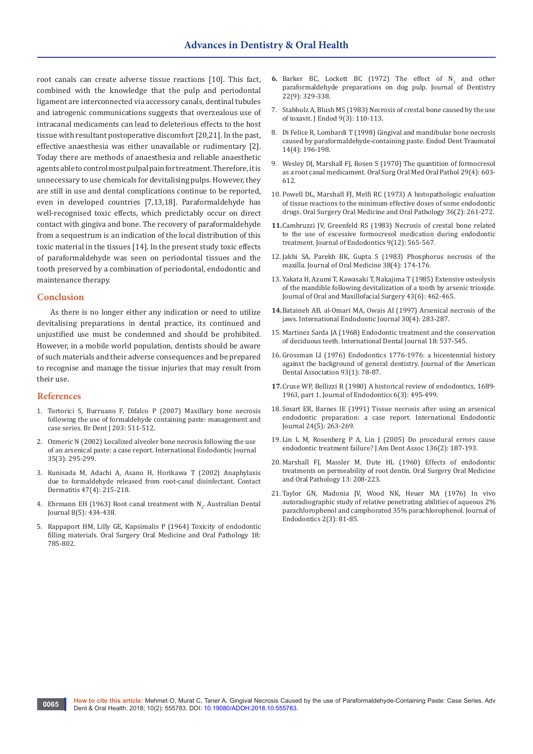root canals can create adverse tissue reactions [10]. This fact, combined with the knowledge that the pulp and periodontal ligament are interconnected via accessory canals, dentinal tubules and iatrogenic communications suggests that overzealous use of intracanal medicaments can lead to deleterious effects to the host tissue with resultant postoperative discomfort [20,21]. In the past, effective anaesthesia was either unavailable or rudimentary [2]. Today there are methods of anaesthesia and reliable anaesthetic agents able to control most pulpal pain for treatment. Therefore, it is unnecessary to use chemicals for devitalising pulps. However, they are still in use and dental complications continue to be reported, even in developed countries [7,13,18]. Paraformaldehyde has well-recognised toxic effects, which predictably occur on direct contact with gingiva and bone. The recovery of paraformaldehyde from a sequestrum is an indication of the local distribution of this toxic material in the tissues [14]. In the present study toxic effects of paraformaldehyde was seen on periodontal tissues and the tooth preserved by a combination of periodontal, endodontic and maintenance therapy.

## **Conclusion**

As there is no longer either any indication or need to utilize devitalising preparations in dental practice, its continued and unjustified use must be condemned and should be prohibited. However, in a mobile world population, dentists should be aware of such materials and their adverse consequences and be prepared to recognise and manage the tissue injuries that may result from their use.

#### **References**

- 1. [Tortorici S, Burruano F, Difalco P \(2007\) Maxillary bone necrosis](https://www.ncbi.nlm.nih.gov/pubmed/17992230)  [following the use of formaldehyde containing paste: management and](https://www.ncbi.nlm.nih.gov/pubmed/17992230)  [case series. Br Dent J 203: 511-512.](https://www.ncbi.nlm.nih.gov/pubmed/17992230)
- 2. [Ozmeric N \(2002\) Localized alveoler bone necrosis following the use](https://www.ncbi.nlm.nih.gov/pubmed/11993440)  [of an arsenical paste: a case report. International Endodontic Journal](https://www.ncbi.nlm.nih.gov/pubmed/11993440)  [35\(3\): 295-299.](https://www.ncbi.nlm.nih.gov/pubmed/11993440)
- 3. [Kunisada M, Adachi A, Asano H, Horikawa T \(2002\) Anaphylaxis](https://www.ncbi.nlm.nih.gov/pubmed/12492520)  [due to formaldehyde released from root-canal disinfectant. Contact](https://www.ncbi.nlm.nih.gov/pubmed/12492520)  [Dermatitis 47\(4\): 215-218.](https://www.ncbi.nlm.nih.gov/pubmed/12492520)
- 4. Ehrmann EH (1963) Root canal treatment with  $N_2$ . Australian Dental [Journal 8\(5\): 434-438.](https://onlinelibrary.wiley.com/doi/full/10.1111/j.1834-7819.1963.tb02650.x)
- 5. [Rappaport HM, Lilly GE, Kapsimalis P \(1964\) Toxicity of endodontic](https://www.ncbi.nlm.nih.gov/pubmed/14213719)  [filling materials. Oral Surgery Oral Medicine and Oral Pathology 18:](https://www.ncbi.nlm.nih.gov/pubmed/14213719)  [785-802.](https://www.ncbi.nlm.nih.gov/pubmed/14213719)
- **6.** Barker BC, Lockett BC (1972) The effect of  $N_2$  and other paraformaldehyde preparations on dog pulp. Journal of Dentistry [22\(9\): 329-338.](https://www.ncbi.nlm.nih.gov/pubmed/4504971)
- 7. [Stabholz A, Blush MS \(1983\) Necrosis of crestal bone caused by the use](https://www.ncbi.nlm.nih.gov/pubmed/6590772)  [of toxavit. J Endod 9\(3\): 110-113.](https://www.ncbi.nlm.nih.gov/pubmed/6590772)
- 8. [Di Felice R, Lombardi T \(1998\) Gingival and mandibular bone necrosis](https://www.ncbi.nlm.nih.gov/pubmed/9796485)  [caused by paraformaldehyde-containing paste. Endod Dent Traumatol](https://www.ncbi.nlm.nih.gov/pubmed/9796485)  [14\(4\): 196-198.](https://www.ncbi.nlm.nih.gov/pubmed/9796485)
- 9. [Wesley DJ, Marshall FJ, Rosen S \(1970\) The quantition of formocresol](https://www.ncbi.nlm.nih.gov/pubmed/5264904)  [as a root canal medicament. Oral Surg Oral Med Oral Pathol 29\(4\): 603-](https://www.ncbi.nlm.nih.gov/pubmed/5264904) [612.](https://www.ncbi.nlm.nih.gov/pubmed/5264904)
- 10. [Powell DL, Marshall FJ, Melfi RC \(1973\) A histopathologic evaluation](https://www.ncbi.nlm.nih.gov/pubmed/4515760)  [of tissue reactions to the minimum effective doses of some endodontic](https://www.ncbi.nlm.nih.gov/pubmed/4515760)  [drugs. Oral Surgery Oral Medicine and Oral Pathology 36\(2\): 261-272.](https://www.ncbi.nlm.nih.gov/pubmed/4515760)
- **11.**[Cambruzzi JV, Greenfeld RS \(1983\) Necrosis of crestal bone related](https://www.ncbi.nlm.nih.gov/pubmed/6581262)  [to the use of excessive formocresol medication during endodontic](https://www.ncbi.nlm.nih.gov/pubmed/6581262)  [treatment. Journal of Endodontics 9\(12\): 565-567.](https://www.ncbi.nlm.nih.gov/pubmed/6581262)
- 12. [Jakhi SA, Parekh BK, Gupta S \(1983\) Phosphorus necrosis of the](https://www.ncbi.nlm.nih.gov/pubmed/6583354)  [maxilla. Journal of Oral Medicine 38\(4\): 174-176.](https://www.ncbi.nlm.nih.gov/pubmed/6583354)
- 13. [Yakata H, Azumi T, Kawasaki T, Nakajima T \(1985\) Extensive osteolysis](https://www.ncbi.nlm.nih.gov/pubmed/3858486)  [of the mandible following devitalization of a tooth by arsenic trioxide.](https://www.ncbi.nlm.nih.gov/pubmed/3858486)  [Journal of Oral and Maxillofacial Surgery 43\(6\): 462-465.](https://www.ncbi.nlm.nih.gov/pubmed/3858486)
- **14.**[Bataineh AB, al-Omari MA, Owais AI \(1997\) Arsenical necrosis of the](https://www.ncbi.nlm.nih.gov/pubmed/9477815)  [jaws. International Endodontic Journal 30\(4\): 283-287.](https://www.ncbi.nlm.nih.gov/pubmed/9477815)
- 15. Martinez Sarda JA (1968) Endodontic treatment and the conservation of deciduous teeth. International Dental Journal 18: 537-545.
- 16. [Grossman LI \(1976\) Endodontics 1776-1976: a bicentennial history](https://www.ncbi.nlm.nih.gov/pubmed/777073)  [against the background of general dentistry. Journal of the American](https://www.ncbi.nlm.nih.gov/pubmed/777073)  [Dental Association 93\(1\): 78-87.](https://www.ncbi.nlm.nih.gov/pubmed/777073)
- **17.**[Cruse WP, Bellizzi R \(1980\) A historical review of endodontics, 1689-](https://www.ncbi.nlm.nih.gov/pubmed/7005371) [1963, part 1. Journal of Endodontics 6\(3\): 495-499.](https://www.ncbi.nlm.nih.gov/pubmed/7005371)
- 18. [Smart ER, Barnes IE \(1991\) Tissue necrosis after using an arsenical](https://www.ncbi.nlm.nih.gov/pubmed/1813430)  [endodontic preparation: a case report. International Endodontic](https://www.ncbi.nlm.nih.gov/pubmed/1813430)  [Journal 24\(5\): 263-269.](https://www.ncbi.nlm.nih.gov/pubmed/1813430)
- 19. [Lin L M, Rosenberg P A, Lin J \(2005\) Do procedural errors cause](https://www.ncbi.nlm.nih.gov/pubmed/15782522)  [endodontic treatment failure? J Am Dent Assoc 136\(2\): 187-193.](https://www.ncbi.nlm.nih.gov/pubmed/15782522)
- 20. [Marshall FJ, Massler M, Dute HL \(1960\) Effects of endodontic](https://www.ncbi.nlm.nih.gov/pubmed/14421528)  [treatments on permeability of root dentin. Oral Surgery Oral Medicine](https://www.ncbi.nlm.nih.gov/pubmed/14421528)  [and Oral Pathology 13: 208-223.](https://www.ncbi.nlm.nih.gov/pubmed/14421528)
- 21. [Taylor GN, Madonia JV, Wood NK, Heuer MA \(1976\) In vivo](https://www.ncbi.nlm.nih.gov/pubmed/1063807)  [autoradiographic study of relative penetrating abilities of aqueous 2%](https://www.ncbi.nlm.nih.gov/pubmed/1063807)  [parachlorophenol and camphorated 35% parachlorophenol. Journal of](https://www.ncbi.nlm.nih.gov/pubmed/1063807)  [Endodontics 2\(3\): 81-85.](https://www.ncbi.nlm.nih.gov/pubmed/1063807)